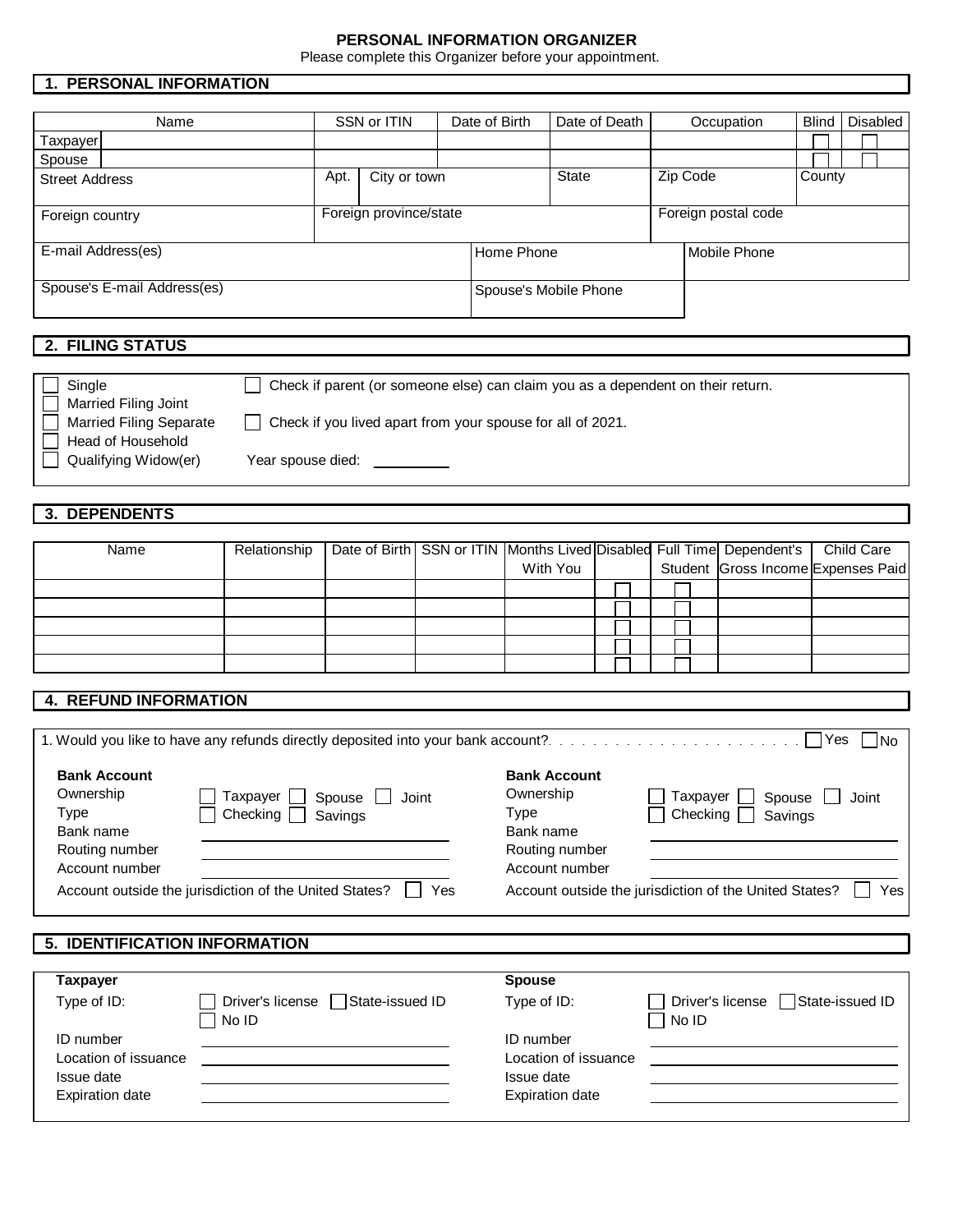#### **PERSONAL INFORMATION ORGANIZER**

Please complete this Organizer before your appointment.

# **1. PERSONAL INFORMATION**

|                       | 1. PERSONAL INFORMATION     |            |                        |               |                       |                     |              |          |
|-----------------------|-----------------------------|------------|------------------------|---------------|-----------------------|---------------------|--------------|----------|
|                       |                             |            |                        |               |                       |                     |              |          |
|                       | Name                        |            | SSN or ITIN            | Date of Birth | Date of Death         | Occupation          | <b>Blind</b> | Disabled |
| Taxpayer              |                             |            |                        |               |                       |                     |              |          |
| Spouse                |                             |            |                        |               |                       |                     |              |          |
| <b>Street Address</b> |                             | Apt.       | City or town           |               | <b>State</b>          | Zip Code            | County       |          |
| Foreign country       |                             |            | Foreign province/state |               |                       | Foreign postal code |              |          |
| E-mail Address(es)    |                             | Home Phone |                        | Mobile Phone  |                       |                     |              |          |
|                       | Spouse's E-mail Address(es) |            |                        |               | Spouse's Mobile Phone |                     |              |          |

# **2. FILING STATUS**

| . I Single                     | Check if parent (or someone else) can claim you as a dependent on their return. |
|--------------------------------|---------------------------------------------------------------------------------|
| <b>Married Filing Joint</b>    |                                                                                 |
| <b>Married Filing Separate</b> | Check if you lived apart from your spouse for all of 2021.                      |
| Head of Household              |                                                                                 |
| Qualifying Widow(er)           | Year spouse died:                                                               |
|                                |                                                                                 |

# **3. DEPENDENTS**

| Name | Relationship |  |          |  | Date of Birth SSN or ITIN Months Lived Disabled Full Time Dependent's | Child Care                         |
|------|--------------|--|----------|--|-----------------------------------------------------------------------|------------------------------------|
|      |              |  | With You |  |                                                                       | Student Gross Income Expenses Paid |
|      |              |  |          |  |                                                                       |                                    |
|      |              |  |          |  |                                                                       |                                    |
|      |              |  |          |  |                                                                       |                                    |
|      |              |  |          |  |                                                                       |                                    |
|      |              |  |          |  |                                                                       |                                    |

## **4. REFUND INFORMATION**

|                                                       |                                                                   |                                                       | - No                                                     |
|-------------------------------------------------------|-------------------------------------------------------------------|-------------------------------------------------------|----------------------------------------------------------|
| <b>Bank Account</b><br>Ownership<br>Type<br>Bank name | Taxpayer    <br>Spouse $\Box$<br>Joint<br>Checking $\Box$ Savings | <b>Bank Account</b><br>Ownership<br>Type<br>Bank name | Taxpayer  <br>Spouse<br>Joint<br>Checking $\Box$ Savings |
| Routing number<br>Account number                      |                                                                   | Routing number<br>Account number                      |                                                          |

## **5. IDENTIFICATION INFORMATION**

| Taxpayer                                                                  |                                                 | <b>Spouse</b>                                                             |                                                       |
|---------------------------------------------------------------------------|-------------------------------------------------|---------------------------------------------------------------------------|-------------------------------------------------------|
| Type of ID:                                                               | Driver's license □ State-issued ID<br>$ $ No ID | Type of ID:                                                               | State-issued ID<br>Driver's license  <br>$\Box$ No ID |
| ID number<br>Location of issuance<br>Issue date<br><b>Expiration date</b> |                                                 | ID number<br>Location of issuance<br>Issue date<br><b>Expiration date</b> |                                                       |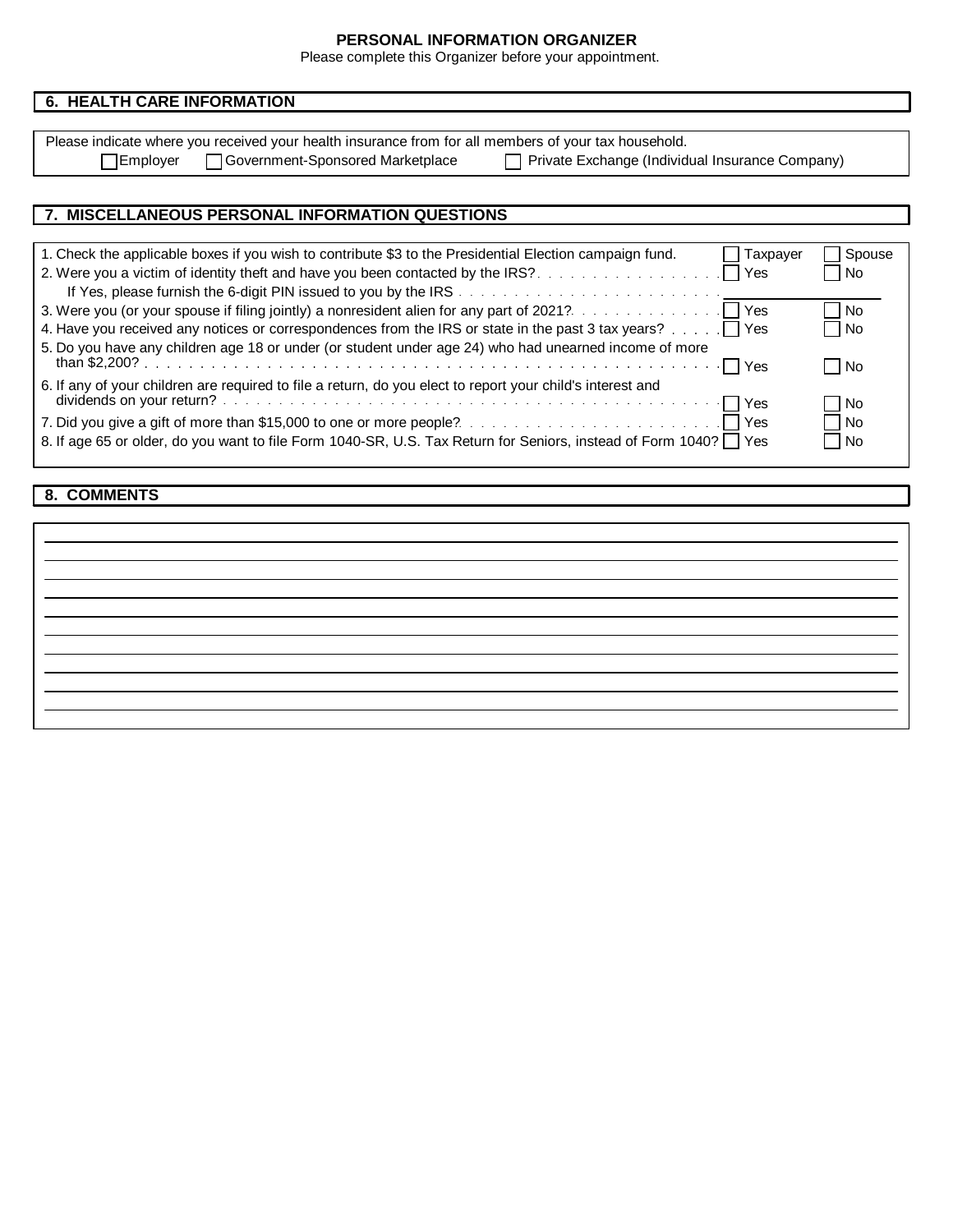## **PERSONAL INFORMATION ORGANIZER**

Please complete this Organizer before your appointment.

| <b>6. HEALTH CARE INFORMATION</b> |                                                                                                      |                                                 |
|-----------------------------------|------------------------------------------------------------------------------------------------------|-------------------------------------------------|
|                                   |                                                                                                      |                                                 |
|                                   | Please indicate where you received your health insurance from for all members of your tax household. |                                                 |
| ⊤Employer                         | Government-Sponsored Marketplace                                                                     | Private Exchange (Individual Insurance Company) |

| 7. MISCELLANEOUS PERSONAL INFORMATION QUESTIONS                                                                     |        |
|---------------------------------------------------------------------------------------------------------------------|--------|
|                                                                                                                     |        |
| 1. Check the applicable boxes if you wish to contribute \$3 to the Presidential Election campaign fund.<br>Taxpayer | Spouse |
|                                                                                                                     | l No   |
|                                                                                                                     |        |
|                                                                                                                     | No     |
| 4. Have you received any notices or correspondences from the IRS or state in the past 3 tax years? TYes             | l No   |
| 5. Do you have any children age 18 or under (or student under age 24) who had unearned income of more               |        |
|                                                                                                                     | No     |
| 6. If any of your children are required to file a return, do you elect to report your child's interest and          |        |
|                                                                                                                     | No     |
|                                                                                                                     | l No   |
| 8. If age 65 or older, do you want to file Form 1040-SR, U.S. Tax Return for Seniors, instead of Form 1040?   Yes   | ∣No    |

## **8. COMMENTS**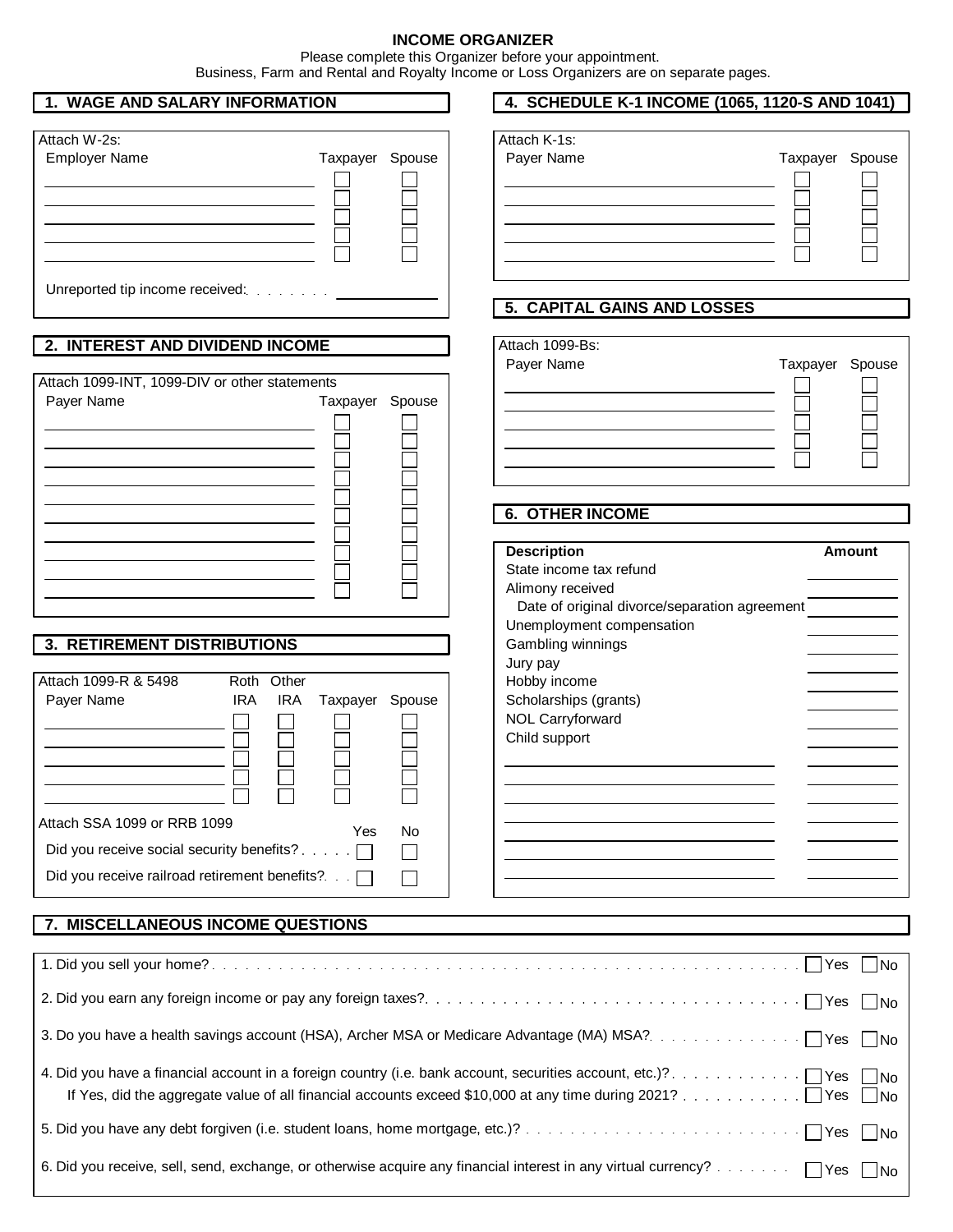#### **INCOME ORGANIZER**

Please complete this Organizer before your appointment.

Business, Farm and Rental and Royalty Income or Loss Organizers are on separate pages.

| 1. WAGE AND SALARY INFORMATION |  |
|--------------------------------|--|
|--------------------------------|--|

| Attach W-2s:                                                         |                 |  |
|----------------------------------------------------------------------|-----------------|--|
| <b>Employer Name</b>                                                 | Taxpayer Spouse |  |
|                                                                      |                 |  |
| Unreported tip income received: [11] Unreported tip income received: |                 |  |

### **2. INTEREST AND DIVIDEND INCOME**

| Attach 1099-INT, 1099-DIV or other statements |                 |  |
|-----------------------------------------------|-----------------|--|
| Payer Name                                    | Taxpayer Spouse |  |
|                                               |                 |  |
|                                               |                 |  |
|                                               |                 |  |
|                                               |                 |  |
|                                               |                 |  |
|                                               |                 |  |
|                                               |                 |  |
|                                               |                 |  |
|                                               |                 |  |
|                                               |                 |  |
|                                               |                 |  |

### **3. RETIREMENT DISTRIBUTIONS**

| l Attach 1099-R & 5498                             |     | Roth Other |                 |    |
|----------------------------------------------------|-----|------------|-----------------|----|
| Payer Name                                         | IRA | IRA.       | Taxpayer Spouse |    |
|                                                    |     |            |                 |    |
|                                                    |     |            |                 |    |
|                                                    |     |            |                 |    |
|                                                    |     |            |                 |    |
|                                                    |     |            |                 |    |
|                                                    |     |            |                 |    |
| Attach SSA 1099 or RRB 1099                        |     |            | Yes             | No |
| Did you receive social security benefits? $\ldots$ |     |            |                 |    |
| Did you receive railroad retirement benefits?      |     |            |                 |    |
|                                                    |     |            |                 |    |

| 7. MISCELLANEOUS INCOME QUESTIONS                                                                                                    |
|--------------------------------------------------------------------------------------------------------------------------------------|
|                                                                                                                                      |
|                                                                                                                                      |
|                                                                                                                                      |
| 3. Do you have a health savings account (HSA), Archer MSA or Medicare Advantage (MA) MSA?<br>Subset 2010 MSA?<br>The Second Yes Dino |
|                                                                                                                                      |
|                                                                                                                                      |
|                                                                                                                                      |

## **4. SCHEDULE K-1 INCOME (1065, 1120-S AND 1041)**

| Attach K-1s: |                 |  |
|--------------|-----------------|--|
| Payer Name   | Taxpayer Spouse |  |
|              |                 |  |
|              |                 |  |
|              |                 |  |
|              |                 |  |
|              |                 |  |

#### **5. CAPITAL GAINS AND LOSSES**

| Attach 1099-Bs: |                 |  |
|-----------------|-----------------|--|
| Payer Name      | Taxpayer Spouse |  |
|                 |                 |  |
|                 |                 |  |
|                 |                 |  |
|                 |                 |  |
|                 |                 |  |
|                 |                 |  |

## **6. OTHER INCOME**

| <b>Description</b>                            | <b>Amount</b> |
|-----------------------------------------------|---------------|
| State income tax refund                       |               |
| Alimony received                              |               |
| Date of original divorce/separation agreement |               |
| Unemployment compensation                     |               |
| Gambling winnings                             |               |
| Jury pay                                      |               |
| Hobby income                                  |               |
| Scholarships (grants)                         |               |
| <b>NOL Carryforward</b>                       |               |
| Child support                                 |               |
|                                               |               |
|                                               |               |
|                                               |               |
|                                               |               |
|                                               |               |
|                                               |               |
|                                               |               |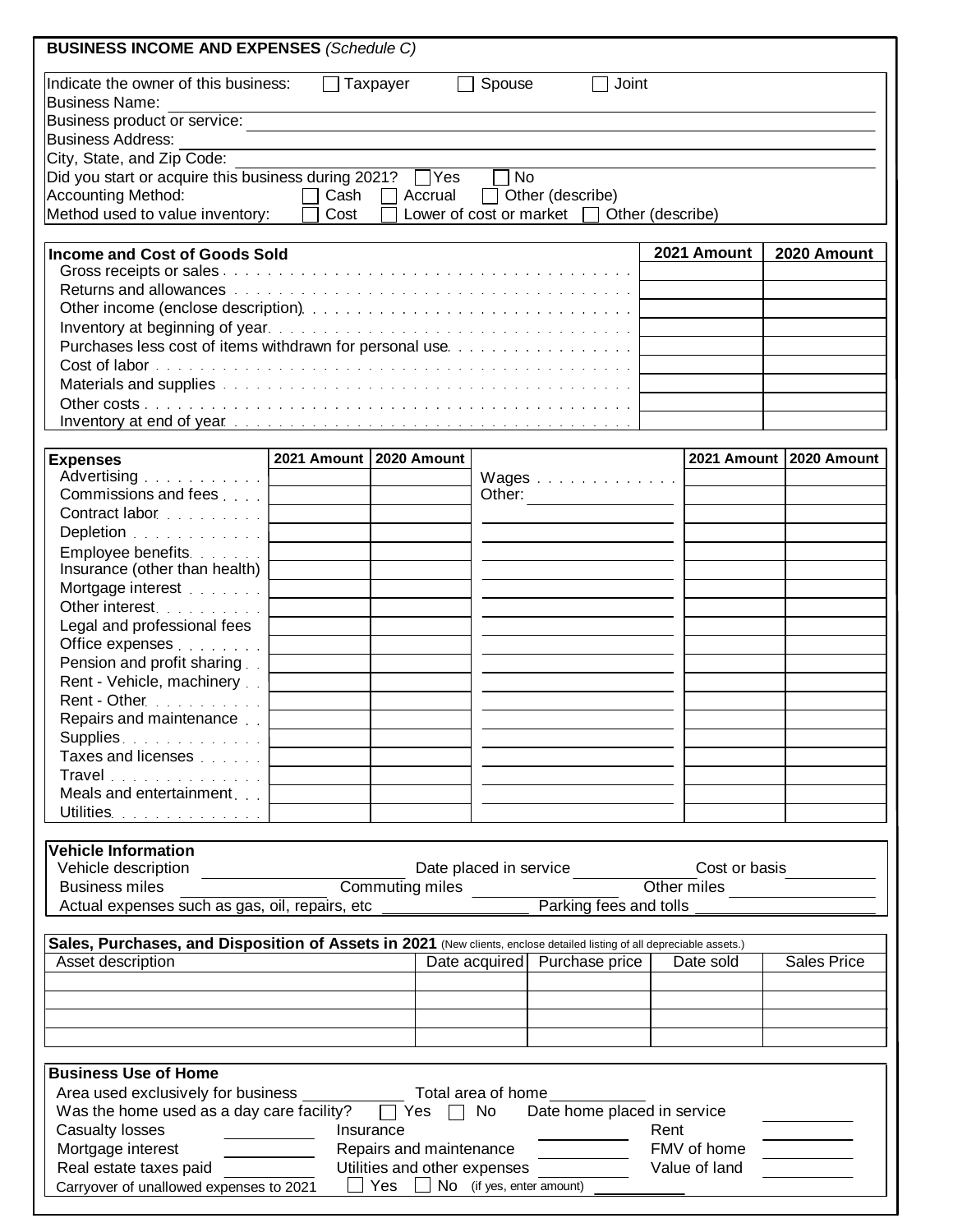| <b>BUSINESS INCOME AND EXPENSES (Schedule C)</b>                                                                                                                                                                                         |                           |           |                         |           |                                                                                                                                                                                                                                      |      |                         |                    |  |
|------------------------------------------------------------------------------------------------------------------------------------------------------------------------------------------------------------------------------------------|---------------------------|-----------|-------------------------|-----------|--------------------------------------------------------------------------------------------------------------------------------------------------------------------------------------------------------------------------------------|------|-------------------------|--------------------|--|
| Indicate the owner of this business:<br><b>Business Name:</b>                                                                                                                                                                            | $\mathbf{L}$              | Taxpayer  |                         | Spouse    | Joint                                                                                                                                                                                                                                |      |                         |                    |  |
| Business product or service:                                                                                                                                                                                                             |                           |           |                         |           |                                                                                                                                                                                                                                      |      |                         |                    |  |
| <b>Business Address:</b>                                                                                                                                                                                                                 |                           |           |                         |           |                                                                                                                                                                                                                                      |      |                         |                    |  |
| City, State, and Zip Code:                                                                                                                                                                                                               |                           |           |                         |           |                                                                                                                                                                                                                                      |      |                         |                    |  |
| Did you start or acquire this business during 2021? Ves                                                                                                                                                                                  |                           |           |                         | $\neg$ No |                                                                                                                                                                                                                                      |      |                         |                    |  |
| Accounting Method:                                                                                                                                                                                                                       |                           |           |                         |           | □ Cash □ Accrual □ Other (describe)                                                                                                                                                                                                  |      |                         |                    |  |
| Method used to value inventory:                                                                                                                                                                                                          | Cost                      |           |                         |           | Lower of cost or market $\Box$ Other (describe)                                                                                                                                                                                      |      |                         |                    |  |
| <b>Income and Cost of Goods Sold</b>                                                                                                                                                                                                     |                           |           |                         |           |                                                                                                                                                                                                                                      |      | 2021 Amount             | 2020 Amount        |  |
| Returns and allowances with the contract of the contract of the contract of the contract of the contract of the                                                                                                                          |                           |           |                         |           |                                                                                                                                                                                                                                      |      |                         |                    |  |
|                                                                                                                                                                                                                                          |                           |           |                         |           |                                                                                                                                                                                                                                      |      |                         |                    |  |
|                                                                                                                                                                                                                                          |                           |           |                         |           |                                                                                                                                                                                                                                      |      |                         |                    |  |
|                                                                                                                                                                                                                                          |                           |           |                         |           |                                                                                                                                                                                                                                      |      |                         |                    |  |
|                                                                                                                                                                                                                                          |                           |           |                         |           |                                                                                                                                                                                                                                      |      |                         |                    |  |
| Materials and supplies with a contract of the contract of the contract of the contract of                                                                                                                                                |                           |           |                         |           |                                                                                                                                                                                                                                      |      |                         |                    |  |
|                                                                                                                                                                                                                                          |                           |           |                         |           |                                                                                                                                                                                                                                      |      |                         |                    |  |
| Inventory at end of year end can be an account of the contract of the contract of the contract of the contract of the contract of the contract of the contract of the contract of the contract of the contract of the contract           |                           |           |                         |           |                                                                                                                                                                                                                                      |      |                         |                    |  |
| <b>Expenses</b>                                                                                                                                                                                                                          | 2021 Amount   2020 Amount |           |                         |           |                                                                                                                                                                                                                                      |      | 2021 Amount 2020 Amount |                    |  |
| Advertising                                                                                                                                                                                                                              |                           |           |                         |           | Wages                                                                                                                                                                                                                                |      |                         |                    |  |
| Commissions and fees                                                                                                                                                                                                                     |                           |           |                         |           | Other:                                                                                                                                                                                                                               |      |                         |                    |  |
| Contract labor                                                                                                                                                                                                                           |                           |           |                         |           |                                                                                                                                                                                                                                      |      |                         |                    |  |
| Depletion                                                                                                                                                                                                                                |                           |           |                         |           |                                                                                                                                                                                                                                      |      |                         |                    |  |
| Employee benefits.                                                                                                                                                                                                                       |                           |           |                         |           |                                                                                                                                                                                                                                      |      |                         |                    |  |
| Insurance (other than health)                                                                                                                                                                                                            |                           |           |                         |           |                                                                                                                                                                                                                                      |      |                         |                    |  |
| Mortgage interest                                                                                                                                                                                                                        |                           |           |                         |           |                                                                                                                                                                                                                                      |      |                         |                    |  |
| Other interest.                                                                                                                                                                                                                          |                           |           |                         |           |                                                                                                                                                                                                                                      |      |                         |                    |  |
| Legal and professional fees                                                                                                                                                                                                              |                           |           |                         |           |                                                                                                                                                                                                                                      |      |                         |                    |  |
| Office expenses <b>Container and Street and Street and Street</b>                                                                                                                                                                        |                           |           |                         |           |                                                                                                                                                                                                                                      |      |                         |                    |  |
| Pension and profit sharing                                                                                                                                                                                                               |                           |           |                         |           |                                                                                                                                                                                                                                      |      |                         |                    |  |
| Rent - Vehicle, machinery                                                                                                                                                                                                                |                           |           |                         |           |                                                                                                                                                                                                                                      |      |                         |                    |  |
| Rent - Other                                                                                                                                                                                                                             |                           |           |                         |           |                                                                                                                                                                                                                                      |      |                         |                    |  |
| Repairs and maintenance                                                                                                                                                                                                                  |                           |           |                         |           |                                                                                                                                                                                                                                      |      |                         |                    |  |
|                                                                                                                                                                                                                                          |                           |           |                         |           |                                                                                                                                                                                                                                      |      |                         |                    |  |
| Supplies.<br>Taxes and licenses [11, 11, 11]                                                                                                                                                                                             |                           |           |                         |           |                                                                                                                                                                                                                                      |      |                         |                    |  |
|                                                                                                                                                                                                                                          |                           |           |                         |           |                                                                                                                                                                                                                                      |      |                         |                    |  |
| Travel                                                                                                                                                                                                                                   |                           |           |                         |           |                                                                                                                                                                                                                                      |      |                         |                    |  |
| Meals and entertainment                                                                                                                                                                                                                  |                           |           |                         |           |                                                                                                                                                                                                                                      |      |                         |                    |  |
| Utilities. <b>Example 20</b> Service and the <b>Material Service</b> 20 Service 20 Service 20 Service 20 Service 20 Service 20 Service 20 Service 20 Service 20 Service 20 Service 20 Service 20 Service 20 Service 20 Service 20 Servic |                           |           |                         |           |                                                                                                                                                                                                                                      |      |                         |                    |  |
| <b>Vehicle Information</b>                                                                                                                                                                                                               |                           |           |                         |           |                                                                                                                                                                                                                                      |      |                         |                    |  |
| Vehicle description                                                                                                                                                                                                                      |                           |           |                         |           |                                                                                                                                                                                                                                      |      | Cost or basis           |                    |  |
| <b>Business miles</b>                                                                                                                                                                                                                    |                           |           |                         |           |                                                                                                                                                                                                                                      |      | Other miles             |                    |  |
| Actual expenses such as gas, oil, repairs, etc                                                                                                                                                                                           |                           |           |                         |           |                                                                                                                                                                                                                                      |      |                         |                    |  |
| Sales, Purchases, and Disposition of Assets in 2021 (New clients, enclose detailed listing of all depreciable assets.)                                                                                                                   |                           |           |                         |           |                                                                                                                                                                                                                                      |      |                         |                    |  |
| Asset description                                                                                                                                                                                                                        |                           |           |                         |           | Date acquired   Purchase price                                                                                                                                                                                                       |      | Date sold               | <b>Sales Price</b> |  |
|                                                                                                                                                                                                                                          |                           |           |                         |           |                                                                                                                                                                                                                                      |      |                         |                    |  |
|                                                                                                                                                                                                                                          |                           |           |                         |           |                                                                                                                                                                                                                                      |      |                         |                    |  |
|                                                                                                                                                                                                                                          |                           |           |                         |           |                                                                                                                                                                                                                                      |      |                         |                    |  |
|                                                                                                                                                                                                                                          |                           |           |                         |           |                                                                                                                                                                                                                                      |      |                         |                    |  |
|                                                                                                                                                                                                                                          |                           |           |                         |           |                                                                                                                                                                                                                                      |      |                         |                    |  |
| <b>Business Use of Home</b>                                                                                                                                                                                                              |                           |           |                         |           |                                                                                                                                                                                                                                      |      |                         |                    |  |
|                                                                                                                                                                                                                                          |                           |           |                         |           |                                                                                                                                                                                                                                      |      |                         |                    |  |
| Was the home used as a day care facility? $\Box$ Yes $\Box$ No                                                                                                                                                                           |                           |           |                         |           | Date home placed in service                                                                                                                                                                                                          |      |                         |                    |  |
| <b>Casualty losses</b><br><u> 1986 - Andrea Station Barbara, am</u>                                                                                                                                                                      |                           | Insurance |                         |           |                                                                                                                                                                                                                                      | Rent |                         |                    |  |
| Mortgage interest                                                                                                                                                                                                                        |                           |           | Repairs and maintenance |           |                                                                                                                                                                                                                                      |      | FMV of home             |                    |  |
| Real estate taxes paid ___________                                                                                                                                                                                                       |                           |           |                         |           | Utilities and other expenses <b>with the set of the set of the set of the set of the set of the set of the set of the set of the set of the set of the set of the set of the set of the set of the set of the set of the set of </b> |      | Value of land           |                    |  |
| Carryover of unallowed expenses to 2021<br>Yes No (if yes, enter amount)                                                                                                                                                                 |                           |           |                         |           |                                                                                                                                                                                                                                      |      |                         |                    |  |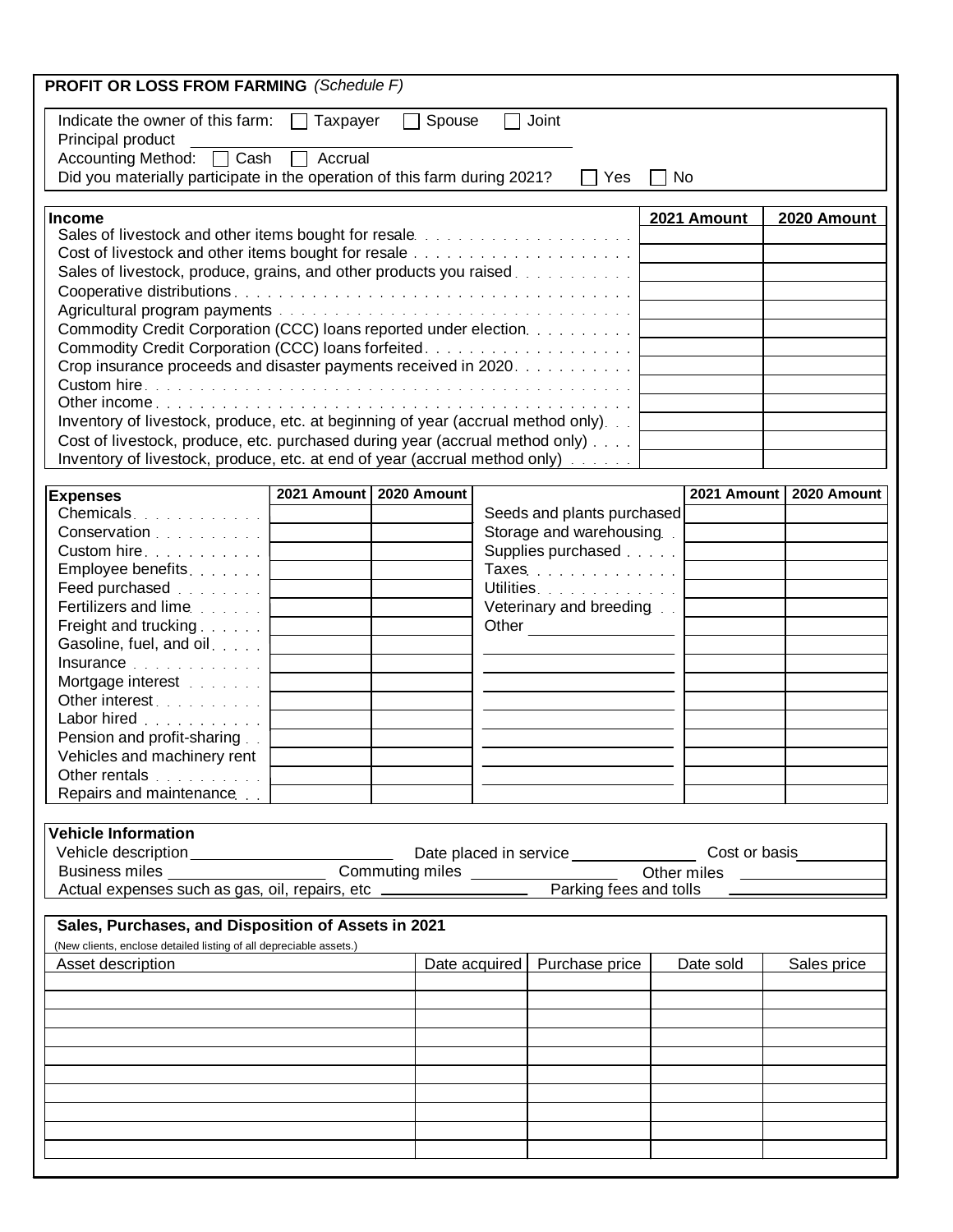| <b>PROFIT OR LOSS FROM FARMING</b> (Schedule F)                                                              |                         |               |               |                                              |    |             |                                       |
|--------------------------------------------------------------------------------------------------------------|-------------------------|---------------|---------------|----------------------------------------------|----|-------------|---------------------------------------|
| Indicate the owner of this farm: $\Box$ Taxpayer<br>Principal product                                        |                         | $\Box$ Spouse | $\Box$        | Joint                                        |    |             |                                       |
| Accounting Method: □ Cash □ Accrual                                                                          |                         |               |               |                                              |    |             |                                       |
| Did you materially participate in the operation of this farm during 2021?                                    |                         |               |               | ∣∣Yes                                        | No |             |                                       |
| <b>Income</b>                                                                                                |                         |               |               |                                              |    | 2021 Amount | 2020 Amount                           |
| Sales of livestock and other items bought for resale entertainment in the sale of the sales of livestock and |                         |               |               |                                              |    |             |                                       |
|                                                                                                              |                         |               |               |                                              |    |             |                                       |
| Sales of livestock, produce, grains, and other products you raised                                           |                         |               |               |                                              |    |             |                                       |
|                                                                                                              |                         |               |               |                                              |    |             |                                       |
|                                                                                                              |                         |               |               |                                              |    |             |                                       |
| Commodity Credit Corporation (CCC) loans reported under election.                                            |                         |               |               |                                              |    |             |                                       |
|                                                                                                              |                         |               |               |                                              |    |             |                                       |
| Crop insurance proceeds and disaster payments received in 2020.                                              |                         |               |               |                                              |    |             |                                       |
|                                                                                                              |                         |               |               |                                              |    |             |                                       |
|                                                                                                              |                         |               |               |                                              |    |             |                                       |
| Inventory of livestock, produce, etc. at beginning of year (accrual method only).                            |                         |               |               |                                              |    |             |                                       |
| Cost of livestock, produce, etc. purchased during year (accrual method only)                                 |                         |               |               |                                              |    |             |                                       |
| Inventory of livestock, produce, etc. at end of year (accrual method only)                                   |                         |               |               |                                              |    |             |                                       |
|                                                                                                              |                         |               |               |                                              |    |             |                                       |
| <b>Expenses</b>                                                                                              | 2021 Amount 2020 Amount |               |               |                                              |    | 2021 Amount | 2020 Amount                           |
| Chemicals                                                                                                    |                         |               |               | Seeds and plants purchased                   |    |             |                                       |
| Conservation                                                                                                 |                         |               |               | Storage and warehousing.                     |    |             |                                       |
| Custom hire                                                                                                  |                         |               |               | Supplies purchased <b>Supplies</b> purchased |    |             |                                       |
| Employee benefits.                                                                                           |                         |               |               | Taxes                                        |    |             |                                       |
| Feed purchased                                                                                               |                         |               |               | Utilities.                                   |    |             |                                       |
| Fertilizers and lime.                                                                                        |                         |               |               | Veterinary and breeding                      |    |             |                                       |
| Freight and trucking                                                                                         |                         |               |               | Other                                        |    |             |                                       |
| Gasoline, fuel, and oil.                                                                                     |                         |               |               |                                              |    |             |                                       |
| Insurance <i>manufacturers</i> and <i>manufacturers</i> and <i>manufacturers</i>                             |                         |               |               |                                              |    |             |                                       |
| Mortgage interest <b>Mortgage</b>                                                                            |                         |               |               |                                              |    |             |                                       |
| Other interest                                                                                               |                         |               |               |                                              |    |             |                                       |
| Labor hired                                                                                                  |                         |               |               |                                              |    |             |                                       |
| Pension and profit-sharing.                                                                                  |                         |               |               |                                              |    |             |                                       |
| Vehicles and machinery rent                                                                                  |                         |               |               |                                              |    |             |                                       |
| Other rentals                                                                                                |                         |               |               |                                              |    |             |                                       |
| Repairs and maintenance [11]                                                                                 |                         |               |               |                                              |    |             |                                       |
|                                                                                                              |                         |               |               |                                              |    |             |                                       |
| <b>Vehicle Information</b>                                                                                   |                         |               |               |                                              |    |             |                                       |
| Vehicle description__________________________                                                                |                         |               |               | Date placed in service ______________        |    |             | Cost or basis <b>Cost of Languary</b> |
| Business miles _____________________                                                                         |                         |               |               |                                              |    |             |                                       |
|                                                                                                              |                         |               |               |                                              |    |             |                                       |
|                                                                                                              |                         |               |               |                                              |    |             |                                       |
| Sales, Purchases, and Disposition of Assets in 2021                                                          |                         |               |               |                                              |    |             |                                       |
| (New clients, enclose detailed listing of all depreciable assets.)                                           |                         |               |               |                                              |    |             |                                       |
| Asset description                                                                                            |                         |               | Date acquired | Purchase price                               |    | Date sold   | Sales price                           |
|                                                                                                              |                         |               |               |                                              |    |             |                                       |
|                                                                                                              |                         |               |               |                                              |    |             |                                       |
|                                                                                                              |                         |               |               |                                              |    |             |                                       |
|                                                                                                              |                         |               |               |                                              |    |             |                                       |
|                                                                                                              |                         |               |               |                                              |    |             |                                       |
|                                                                                                              |                         |               |               |                                              |    |             |                                       |
|                                                                                                              |                         |               |               |                                              |    |             |                                       |
|                                                                                                              |                         |               |               |                                              |    |             |                                       |
|                                                                                                              |                         |               |               |                                              |    |             |                                       |
|                                                                                                              |                         |               |               |                                              |    |             |                                       |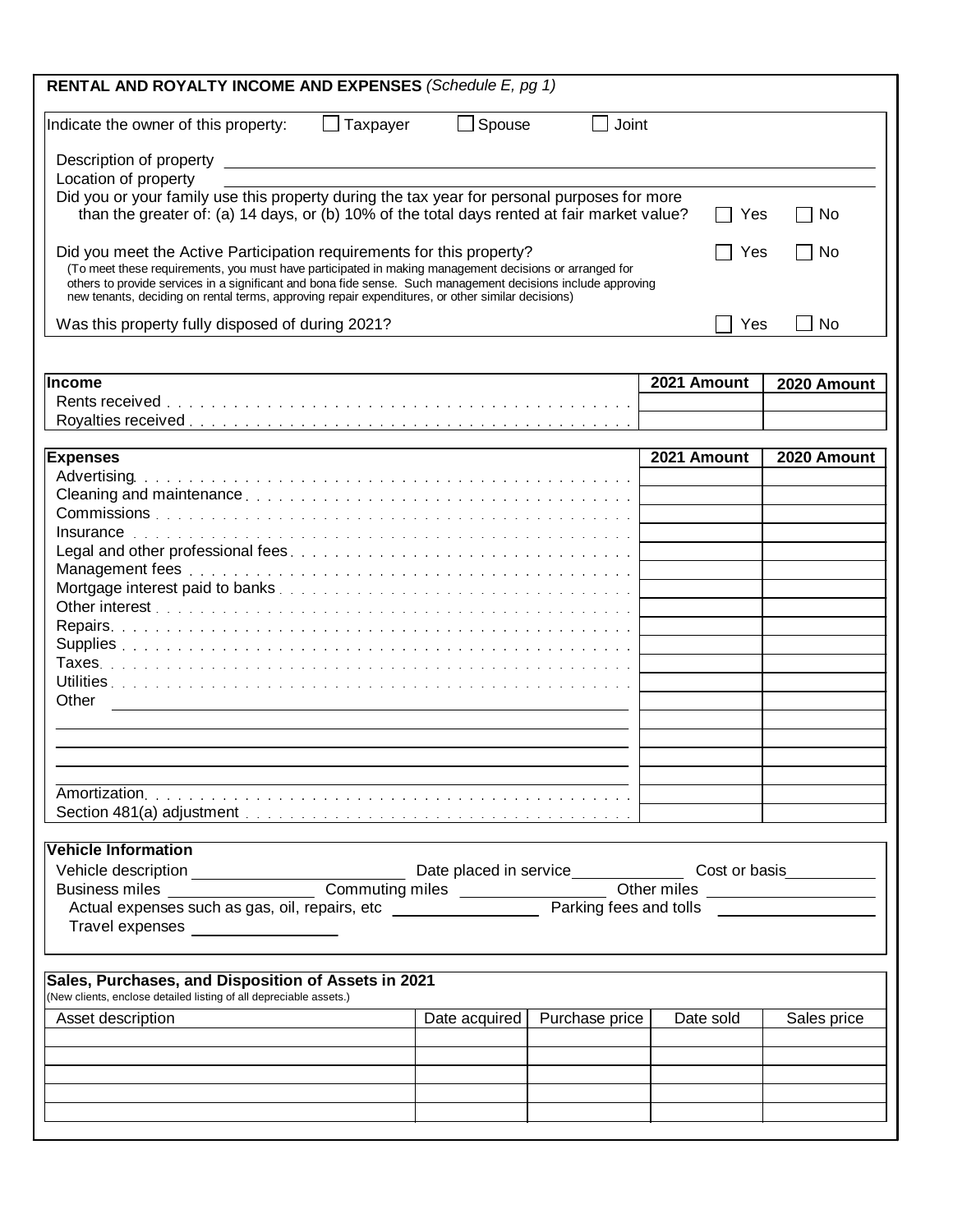| RENTAL AND ROYALTY INCOME AND EXPENSES (Schedule E, pg 1)                                                                                                                                                         |                 |               |                |             |             |
|-------------------------------------------------------------------------------------------------------------------------------------------------------------------------------------------------------------------|-----------------|---------------|----------------|-------------|-------------|
| Indicate the owner of this property:                                                                                                                                                                              | $\Box$ Taxpayer | $\Box$ Spouse | Joint          |             |             |
|                                                                                                                                                                                                                   |                 |               |                |             |             |
| Location of property                                                                                                                                                                                              |                 |               |                |             |             |
| Did you or your family use this property during the tax year for personal purposes for more                                                                                                                       |                 |               |                |             |             |
| than the greater of: (a) 14 days, or (b) 10% of the total days rented at fair market value?                                                                                                                       |                 |               |                | Yes         | No.         |
| Did you meet the Active Participation requirements for this property?<br>(To meet these requirements, you must have participated in making management decisions or arranged for                                   |                 |               |                | Yes         | No          |
| others to provide services in a significant and bona fide sense. Such management decisions include approving<br>new tenants, deciding on rental terms, approving repair expenditures, or other similar decisions) |                 |               |                |             |             |
| Was this property fully disposed of during 2021?                                                                                                                                                                  |                 |               |                | Yes         | <b>No</b>   |
| <b>Income</b>                                                                                                                                                                                                     |                 |               |                | 2021 Amount | 2020 Amount |
|                                                                                                                                                                                                                   |                 |               |                |             |             |
|                                                                                                                                                                                                                   |                 |               |                |             |             |
|                                                                                                                                                                                                                   |                 |               |                |             |             |
| <b>Expenses</b>                                                                                                                                                                                                   |                 |               |                | 2021 Amount | 2020 Amount |
|                                                                                                                                                                                                                   |                 |               |                |             |             |
|                                                                                                                                                                                                                   |                 |               |                |             |             |
|                                                                                                                                                                                                                   |                 |               |                |             |             |
|                                                                                                                                                                                                                   |                 |               |                |             |             |
|                                                                                                                                                                                                                   |                 |               |                |             |             |
|                                                                                                                                                                                                                   |                 |               |                |             |             |
|                                                                                                                                                                                                                   |                 |               |                |             |             |
|                                                                                                                                                                                                                   |                 |               |                |             |             |
|                                                                                                                                                                                                                   |                 |               |                |             |             |
|                                                                                                                                                                                                                   |                 |               |                |             |             |
|                                                                                                                                                                                                                   |                 |               |                |             |             |
|                                                                                                                                                                                                                   |                 |               |                |             |             |
|                                                                                                                                                                                                                   |                 |               |                |             |             |
| Other                                                                                                                                                                                                             |                 |               |                |             |             |
|                                                                                                                                                                                                                   |                 |               |                |             |             |
|                                                                                                                                                                                                                   |                 |               |                |             |             |
|                                                                                                                                                                                                                   |                 |               |                |             |             |
|                                                                                                                                                                                                                   |                 |               |                |             |             |
|                                                                                                                                                                                                                   |                 |               |                |             |             |
|                                                                                                                                                                                                                   |                 |               |                |             |             |
|                                                                                                                                                                                                                   |                 |               |                |             |             |
| Vehicle Information                                                                                                                                                                                               |                 |               |                |             |             |
|                                                                                                                                                                                                                   |                 |               |                |             |             |
|                                                                                                                                                                                                                   |                 |               |                |             |             |
|                                                                                                                                                                                                                   |                 |               |                |             |             |
|                                                                                                                                                                                                                   |                 |               |                |             |             |
| Travel expenses _________________                                                                                                                                                                                 |                 |               |                |             |             |
|                                                                                                                                                                                                                   |                 |               |                |             |             |
| Sales, Purchases, and Disposition of Assets in 2021                                                                                                                                                               |                 |               |                |             |             |
| (New clients, enclose detailed listing of all depreciable assets.)                                                                                                                                                |                 |               |                |             |             |
| Asset description                                                                                                                                                                                                 |                 | Date acquired | Purchase price | Date sold   | Sales price |
|                                                                                                                                                                                                                   |                 |               |                |             |             |
|                                                                                                                                                                                                                   |                 |               |                |             |             |
|                                                                                                                                                                                                                   |                 |               |                |             |             |
|                                                                                                                                                                                                                   |                 |               |                |             |             |
|                                                                                                                                                                                                                   |                 |               |                |             |             |
|                                                                                                                                                                                                                   |                 |               |                |             |             |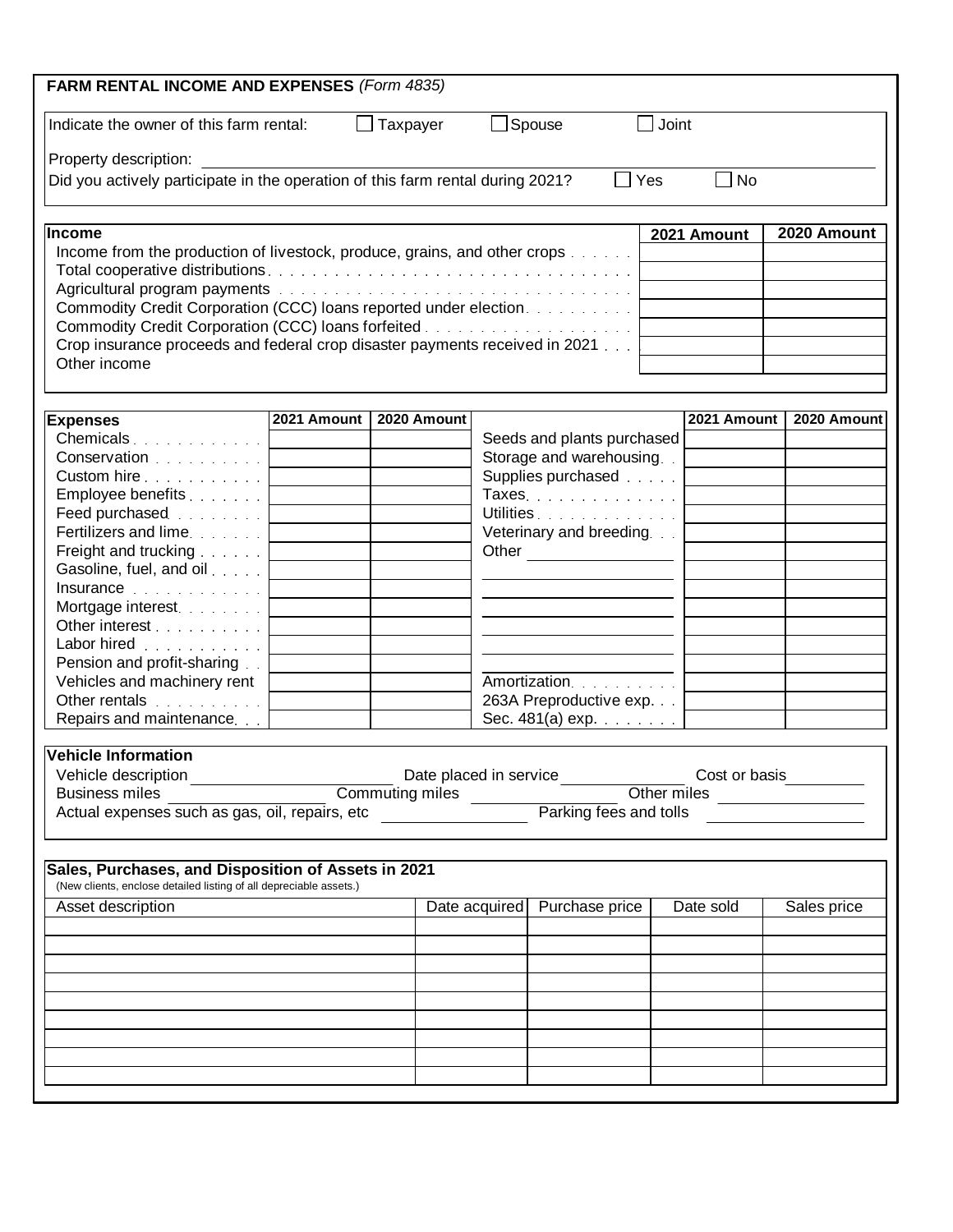| <b>FARM RENTAL INCOME AND EXPENSES (Form 4835)</b>                                                                                                                                                                             |             |                 |                                              |                        |               |             |
|--------------------------------------------------------------------------------------------------------------------------------------------------------------------------------------------------------------------------------|-------------|-----------------|----------------------------------------------|------------------------|---------------|-------------|
| Indicate the owner of this farm rental:                                                                                                                                                                                        |             | $\Box$ Taxpayer | $\Box$ Spouse                                | Joint                  |               |             |
| Property description:                                                                                                                                                                                                          |             |                 |                                              |                        |               |             |
| Did you actively participate in the operation of this farm rental during 2021?                                                                                                                                                 |             |                 |                                              | $\Box$ Yes             | $\perp$<br>No |             |
| <b>Income</b>                                                                                                                                                                                                                  |             |                 |                                              |                        | 2021 Amount   | 2020 Amount |
| Income from the production of livestock, produce, grains, and other crops                                                                                                                                                      |             |                 |                                              |                        |               |             |
|                                                                                                                                                                                                                                |             |                 |                                              |                        |               |             |
| Agricultural program payments with a subsequent of the set of the set of the set of the set of the set of the<br>Commodity Credit Corporation (CCC) loans reported under election.                                             |             |                 |                                              |                        |               |             |
|                                                                                                                                                                                                                                |             |                 |                                              |                        |               |             |
| Crop insurance proceeds and federal crop disaster payments received in 2021                                                                                                                                                    |             |                 |                                              |                        |               |             |
| Other income                                                                                                                                                                                                                   |             |                 |                                              |                        |               |             |
|                                                                                                                                                                                                                                |             |                 |                                              |                        |               |             |
| <b>Expenses</b><br>Chemicals                                                                                                                                                                                                   | 2021 Amount | 2020 Amount     | Seeds and plants purchased                   |                        | 2021 Amount   | 2020 Amount |
| Conservation 1                                                                                                                                                                                                                 |             |                 | Storage and warehousing                      |                        |               |             |
| Custom hire                                                                                                                                                                                                                    |             |                 | Supplies purchased <b>Supplies</b> purchased |                        |               |             |
| Employee benefits                                                                                                                                                                                                              |             |                 | Taxes.                                       |                        |               |             |
| Feed purchased <b>Feed Feed purchased</b>                                                                                                                                                                                      |             |                 | Utilities                                    |                        |               |             |
| Fertilizers and lime.                                                                                                                                                                                                          |             |                 | Veterinary and breeding                      |                        |               |             |
| Freight and trucking                                                                                                                                                                                                           |             |                 | Other                                        |                        |               |             |
| Gasoline, fuel, and oil                                                                                                                                                                                                        |             |                 |                                              |                        |               |             |
| Insurance research and the set of the set of the set of the set of the set of the set of the set of the set of the set of the set of the set of the set of the set of the set of the set of the set of the set of the set of t |             |                 |                                              |                        |               |             |
| Mortgage interest.                                                                                                                                                                                                             |             |                 |                                              |                        |               |             |
| Other interest                                                                                                                                                                                                                 |             |                 |                                              |                        |               |             |
| Labor hired                                                                                                                                                                                                                    |             |                 |                                              |                        |               |             |
| Pension and profit-sharing                                                                                                                                                                                                     |             |                 |                                              |                        |               |             |
| Vehicles and machinery rent                                                                                                                                                                                                    |             |                 | Amortization.                                |                        |               |             |
| Other rentals                                                                                                                                                                                                                  |             |                 | 263A Preproductive exp.                      |                        |               |             |
| Repairs and maintenance.                                                                                                                                                                                                       |             |                 | Sec. $481(a)$ exp. $\ldots$                  |                        |               |             |
| <b>Vehicle Information</b>                                                                                                                                                                                                     |             |                 |                                              |                        |               |             |
| Vehicle description                                                                                                                                                                                                            |             |                 | Date placed in service                       |                        | Cost or basis |             |
| <b>Business miles</b>                                                                                                                                                                                                          |             | Commuting miles |                                              | Other miles            |               |             |
| Actual expenses such as gas, oil, repairs, etc                                                                                                                                                                                 |             |                 |                                              | Parking fees and tolls |               |             |
|                                                                                                                                                                                                                                |             |                 |                                              |                        |               |             |
| Sales, Purchases, and Disposition of Assets in 2021<br>(New clients, enclose detailed listing of all depreciable assets.)                                                                                                      |             |                 |                                              |                        |               |             |
| Asset description                                                                                                                                                                                                              |             |                 | Date acquired                                | Purchase price         | Date sold     | Sales price |
|                                                                                                                                                                                                                                |             |                 |                                              |                        |               |             |
|                                                                                                                                                                                                                                |             |                 |                                              |                        |               |             |
|                                                                                                                                                                                                                                |             |                 |                                              |                        |               |             |
|                                                                                                                                                                                                                                |             |                 |                                              |                        |               |             |
|                                                                                                                                                                                                                                |             |                 |                                              |                        |               |             |
|                                                                                                                                                                                                                                |             |                 |                                              |                        |               |             |
|                                                                                                                                                                                                                                |             |                 |                                              |                        |               |             |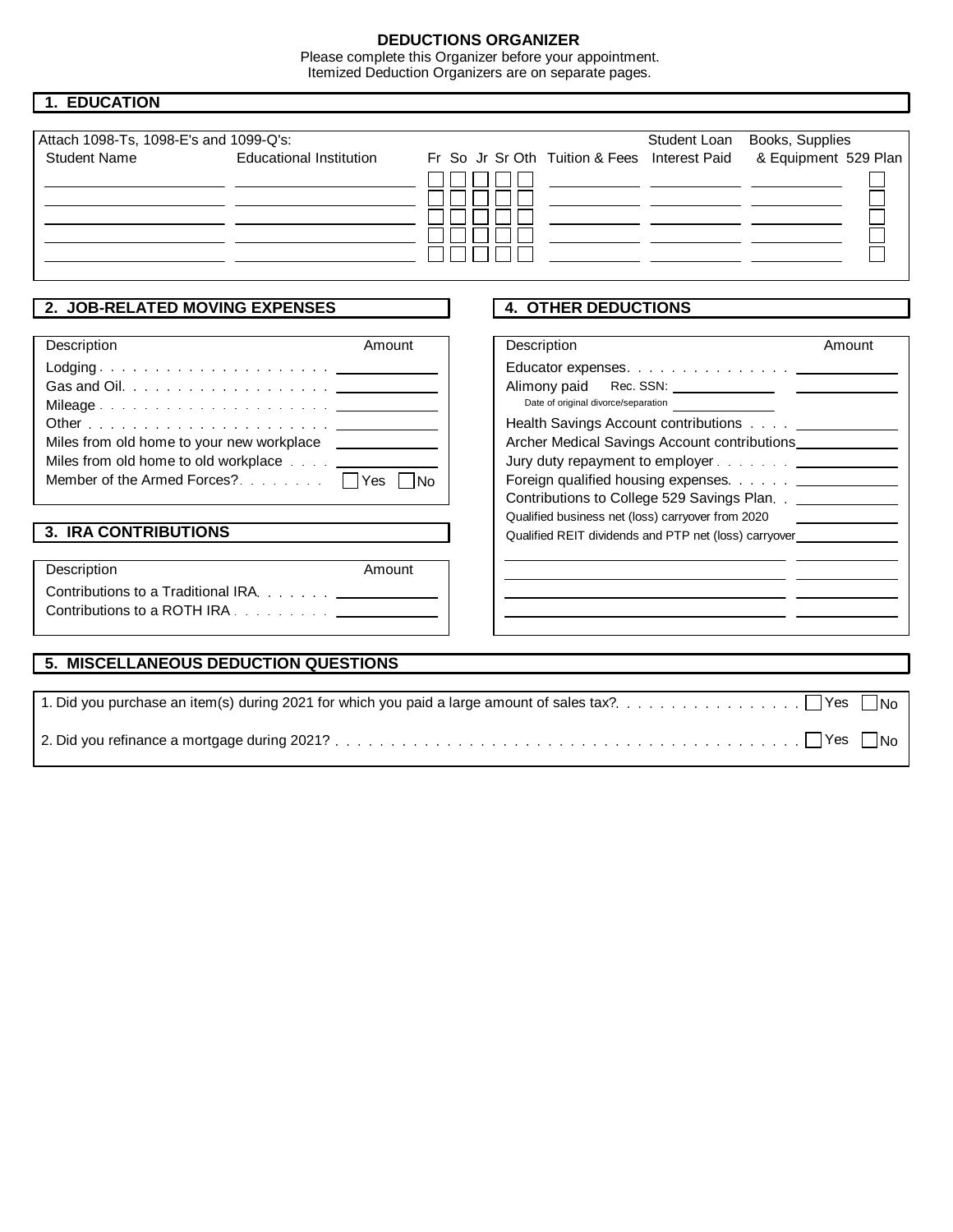# **DEDUCTIONS ORGANIZER**

Please complete this Organizer before your appointment. Itemized Deduction Organizers are on separate pages.

| <b>1. EDUCATION</b>                                                          |                                                                                                                   |  |  |                             |                                     |                                                                                 |                                                                                                                                                                                                                                                                                                                                                                                    |                                        |
|------------------------------------------------------------------------------|-------------------------------------------------------------------------------------------------------------------|--|--|-----------------------------|-------------------------------------|---------------------------------------------------------------------------------|------------------------------------------------------------------------------------------------------------------------------------------------------------------------------------------------------------------------------------------------------------------------------------------------------------------------------------------------------------------------------------|----------------------------------------|
| Attach 1098-Ts, 1098-E's and 1099-Q's:<br><b>Student Name</b>                | <b>Educational Institution</b>                                                                                    |  |  |                             |                                     | Student Loan<br>Fr So Jr Sr Oth Tuition & Fees Interest Paid                    | Books, Supplies<br>& Equipment 529 Plan<br><u> 1989 - John Harry Barn, mars and de Barn, mars and de Barn, mars and de Barn, mars and de Barn, mars and de</u><br><u> 1989 - Johann John Stone, mars eta industrial eta industrial eta industrial eta industrial eta industrial eta</u>                                                                                            |                                        |
| 2. JOB-RELATED MOVING EXPENSES<br>Description<br><b>3. IRA CONTRIBUTIONS</b> | Amount<br>Miles from old home to your new workplace ____________<br>Miles from old home to old workplace ________ |  |  | Description<br>Alimony paid | Date of original divorce/separation | <b>4. OTHER DEDUCTIONS</b><br>Qualified business net (loss) carryover from 2020 | Amount<br>Educator expenses. <u>.</u><br>Health Savings Account contributions Account 2014<br>Archer Medical Savings Account contributions<br>Jury duty repayment to employer <u>_____________</u><br>Foreign qualified housing expenses. ________________<br>Contributions to College 529 Savings Plan. . ______________<br>Qualified REIT dividends and PTP net (loss) carryover |                                        |
| Description                                                                  | Amount<br>Contributions to a Traditional IRA. _______________<br>5. MISCELLANEOUS DEDUCTION QUESTIONS             |  |  |                             |                                     |                                                                                 |                                                                                                                                                                                                                                                                                                                                                                                    |                                        |
|                                                                              |                                                                                                                   |  |  |                             |                                     |                                                                                 |                                                                                                                                                                                                                                                                                                                                                                                    | l IN <sub>O</sub><br>l IN <sub>o</sub> |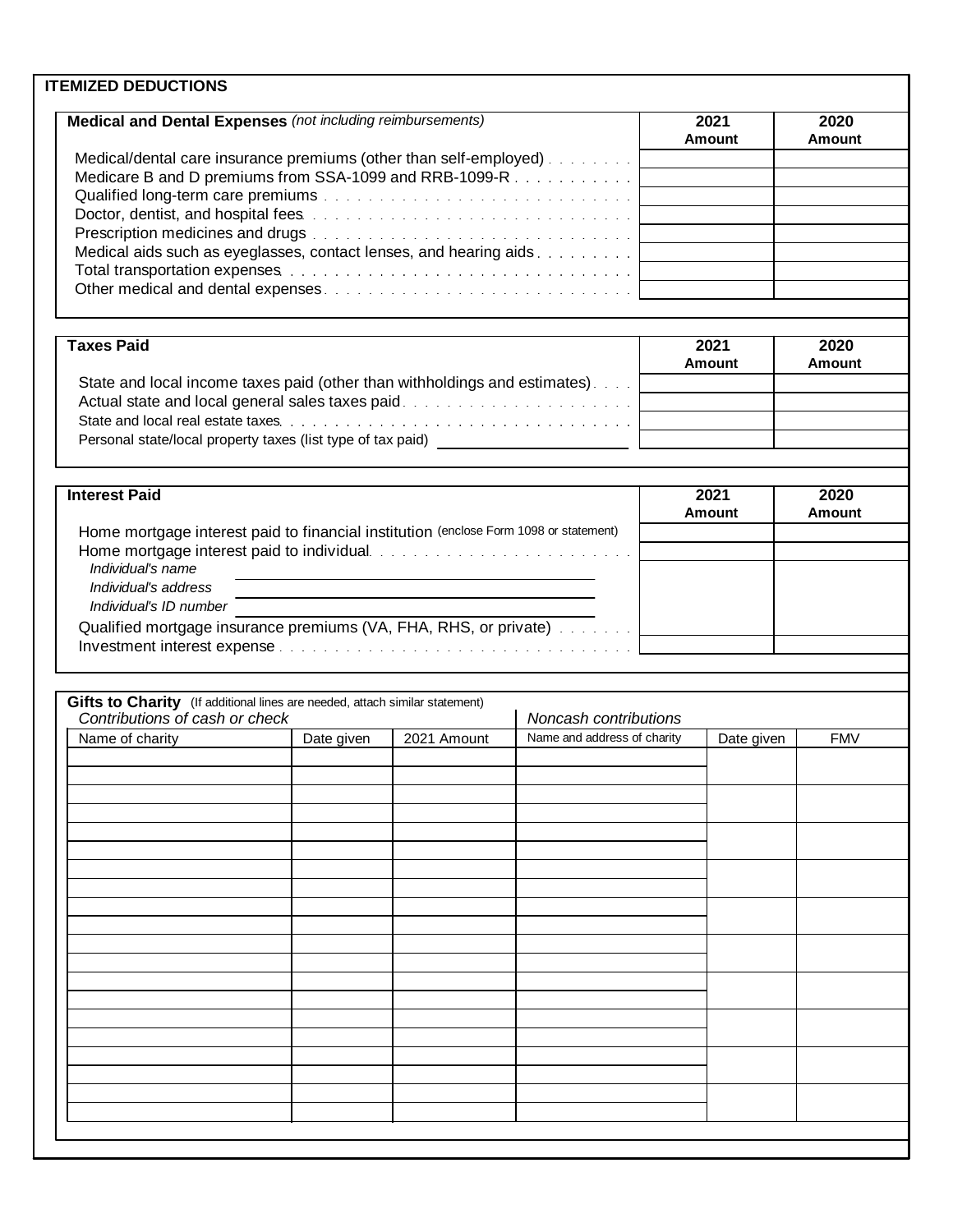| <b>Medical and Dental Expenses (not including reimbursements)</b>                                                                                                                                                              |            |             |                             | 2021<br>Amount | 2020<br><b>Amount</b> |
|--------------------------------------------------------------------------------------------------------------------------------------------------------------------------------------------------------------------------------|------------|-------------|-----------------------------|----------------|-----------------------|
| Medical/dental care insurance premiums (other than self-employed).                                                                                                                                                             |            |             |                             |                |                       |
| Medicare B and D premiums from SSA-1099 and RRB-1099-R                                                                                                                                                                         |            |             |                             |                |                       |
|                                                                                                                                                                                                                                |            |             |                             |                |                       |
| Doctor, dentist, and hospital fees entertainment and the contract of the contract of the contract of the contract of the contract of the contract of the contract of the contract of the contract of the contract of the contr |            |             |                             |                |                       |
|                                                                                                                                                                                                                                |            |             |                             |                |                       |
| Medical aids such as eyeglasses, contact lenses, and hearing aids.<br>Total transportation expenses between the contract of the contract of the contract of the Total Total and Total                                          |            |             |                             |                |                       |
|                                                                                                                                                                                                                                |            |             |                             |                |                       |
|                                                                                                                                                                                                                                |            |             |                             |                |                       |
|                                                                                                                                                                                                                                |            |             |                             |                |                       |
| <b>Taxes Paid</b>                                                                                                                                                                                                              |            |             |                             | 2021           | 2020                  |
|                                                                                                                                                                                                                                |            |             |                             | Amount         | <b>Amount</b>         |
| State and local income taxes paid (other than withholdings and estimates).                                                                                                                                                     |            |             |                             |                |                       |
|                                                                                                                                                                                                                                |            |             |                             |                |                       |
|                                                                                                                                                                                                                                |            |             |                             |                |                       |
| Personal state/local property taxes (list type of tax paid) _____________________                                                                                                                                              |            |             |                             |                |                       |
|                                                                                                                                                                                                                                |            |             |                             |                |                       |
| <b>Interest Paid</b>                                                                                                                                                                                                           |            |             |                             | 2021           | 2020                  |
|                                                                                                                                                                                                                                |            |             |                             | Amount         | <b>Amount</b>         |
| Home mortgage interest paid to financial institution (enclose Form 1098 or statement)                                                                                                                                          |            |             |                             |                |                       |
| Home mortgage interest paid to individual resonance and contract the mortgage interest paid to individual                                                                                                                      |            |             |                             |                |                       |
|                                                                                                                                                                                                                                |            |             |                             |                |                       |
|                                                                                                                                                                                                                                |            |             |                             |                |                       |
| Individual's name<br>Individual's address                                                                                                                                                                                      |            |             |                             |                |                       |
| Individual's ID number                                                                                                                                                                                                         |            |             |                             |                |                       |
|                                                                                                                                                                                                                                |            |             |                             |                |                       |
| Qualified mortgage insurance premiums (VA, FHA, RHS, or private) Allentinum                                                                                                                                                    |            |             |                             |                |                       |
|                                                                                                                                                                                                                                |            |             |                             |                |                       |
|                                                                                                                                                                                                                                |            |             |                             |                |                       |
| Gifts to Charity (If additional lines are needed, attach similar statement)                                                                                                                                                    |            |             |                             |                |                       |
| Contributions of cash or check                                                                                                                                                                                                 |            |             | Noncash contributions       |                |                       |
| Name of charity                                                                                                                                                                                                                | Date given | 2021 Amount | Name and address of charity | Date given     | <b>FMV</b>            |
|                                                                                                                                                                                                                                |            |             |                             |                |                       |
|                                                                                                                                                                                                                                |            |             |                             |                |                       |
|                                                                                                                                                                                                                                |            |             |                             |                |                       |
|                                                                                                                                                                                                                                |            |             |                             |                |                       |
|                                                                                                                                                                                                                                |            |             |                             |                |                       |
|                                                                                                                                                                                                                                |            |             |                             |                |                       |
|                                                                                                                                                                                                                                |            |             |                             |                |                       |
|                                                                                                                                                                                                                                |            |             |                             |                |                       |
|                                                                                                                                                                                                                                |            |             |                             |                |                       |
|                                                                                                                                                                                                                                |            |             |                             |                |                       |
|                                                                                                                                                                                                                                |            |             |                             |                |                       |
|                                                                                                                                                                                                                                |            |             |                             |                |                       |
|                                                                                                                                                                                                                                |            |             |                             |                |                       |
|                                                                                                                                                                                                                                |            |             |                             |                |                       |
|                                                                                                                                                                                                                                |            |             |                             |                |                       |
|                                                                                                                                                                                                                                |            |             |                             |                |                       |
|                                                                                                                                                                                                                                |            |             |                             |                |                       |
|                                                                                                                                                                                                                                |            |             |                             |                |                       |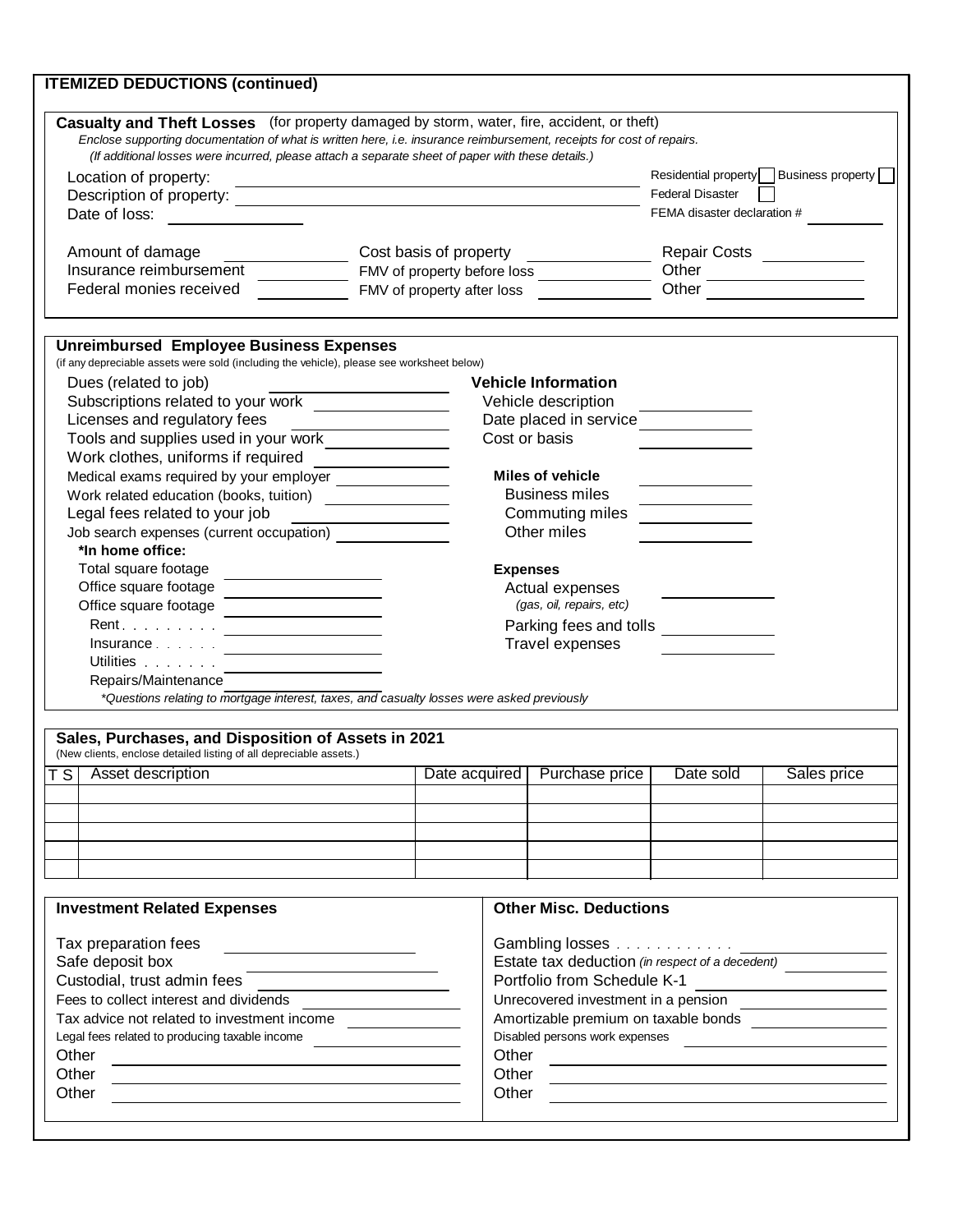| Casualty and Theft Losses (for property damaged by storm, water, fire, accident, or theft)                                                            |                                                      |                                                                  |                 |                                                                                            |                             |  |                                        |
|-------------------------------------------------------------------------------------------------------------------------------------------------------|------------------------------------------------------|------------------------------------------------------------------|-----------------|--------------------------------------------------------------------------------------------|-----------------------------|--|----------------------------------------|
| Enclose supporting documentation of what is written here, i.e. insurance reimbursement, receipts for cost of repairs.                                 |                                                      |                                                                  |                 |                                                                                            |                             |  |                                        |
| (If additional losses were incurred, please attach a separate sheet of paper with these details.)                                                     |                                                      |                                                                  |                 |                                                                                            |                             |  |                                        |
| Location of property:                                                                                                                                 | <u> 1989 - Johann Barn, fransk politik (f. 1989)</u> |                                                                  |                 |                                                                                            |                             |  | Residential property Business property |
|                                                                                                                                                       |                                                      |                                                                  |                 |                                                                                            | <b>Federal Disaster</b>     |  |                                        |
| Date of loss:                                                                                                                                         |                                                      |                                                                  |                 |                                                                                            | FEMA disaster declaration # |  |                                        |
|                                                                                                                                                       |                                                      |                                                                  |                 |                                                                                            |                             |  |                                        |
| Amount of damage                                                                                                                                      |                                                      | Cost basis of property                                           |                 |                                                                                            | Repair Costs<br><u> </u>    |  |                                        |
| Insurance reimbursement                                                                                                                               |                                                      |                                                                  |                 |                                                                                            | Other                       |  |                                        |
| Federal monies received                                                                                                                               |                                                      |                                                                  |                 |                                                                                            | Other                       |  |                                        |
| <b>Unreimbursed Employee Business Expenses</b>                                                                                                        |                                                      |                                                                  |                 |                                                                                            |                             |  |                                        |
| (if any depreciable assets were sold (including the vehicle), please see worksheet below)                                                             |                                                      |                                                                  |                 |                                                                                            |                             |  |                                        |
| Dues (related to job)                                                                                                                                 |                                                      |                                                                  |                 | <b>Vehicle Information</b>                                                                 |                             |  |                                        |
| Subscriptions related to your work _________________                                                                                                  |                                                      |                                                                  |                 | Vehicle description                                                                        |                             |  |                                        |
| Licenses and regulatory fees                                                                                                                          |                                                      |                                                                  |                 | Date placed in service_____________                                                        |                             |  |                                        |
| Tools and supplies used in your work                                                                                                                  |                                                      |                                                                  |                 | Cost or basis                                                                              |                             |  |                                        |
| Work clothes, uniforms if required                                                                                                                    |                                                      |                                                                  |                 |                                                                                            |                             |  |                                        |
| Medical exams required by your employer _______________                                                                                               |                                                      |                                                                  |                 | <b>Miles of vehicle</b>                                                                    |                             |  |                                        |
|                                                                                                                                                       |                                                      |                                                                  |                 | <b>Business miles</b>                                                                      |                             |  |                                        |
| Legal fees related to your job                                                                                                                        |                                                      |                                                                  |                 | Commuting miles                                                                            |                             |  |                                        |
| Job search expenses (current occupation)<br>*In home office:                                                                                          |                                                      |                                                                  |                 | Other miles                                                                                |                             |  |                                        |
| Total square footage                                                                                                                                  | <u> 1980 - John Stein, Amerikaansk politiker (</u>   |                                                                  | <b>Expenses</b> |                                                                                            |                             |  |                                        |
| Office square footage                                                                                                                                 | <u> 1980 - Andrea Andrew Maria (b. 1980)</u>         |                                                                  |                 | Actual expenses                                                                            |                             |  |                                        |
| Office square footage<br><u> 1980 - Andrea Aonaich, ann an t-Aonaich an t-Aonaich an t-Aonaich an t-Aonaich ann an t-Aonaich ann an t-Aon</u>         |                                                      | (gas, oil, repairs, etc)<br>Parking fees and tolls _____________ |                 |                                                                                            |                             |  |                                        |
|                                                                                                                                                       |                                                      |                                                                  |                 |                                                                                            |                             |  |                                        |
|                                                                                                                                                       |                                                      |                                                                  |                 |                                                                                            |                             |  |                                        |
|                                                                                                                                                       |                                                      |                                                                  |                 |                                                                                            |                             |  |                                        |
| $Insurance$<br>Utilities                                                                                                                              |                                                      |                                                                  |                 | Travel expenses                                                                            |                             |  |                                        |
| Repairs/Maintenance                                                                                                                                   |                                                      |                                                                  |                 |                                                                                            |                             |  |                                        |
| *Questions relating to mortgage interest, taxes, and casualty losses were asked previously                                                            |                                                      |                                                                  |                 |                                                                                            |                             |  |                                        |
|                                                                                                                                                       |                                                      |                                                                  |                 |                                                                                            |                             |  |                                        |
|                                                                                                                                                       |                                                      |                                                                  |                 |                                                                                            |                             |  |                                        |
|                                                                                                                                                       |                                                      |                                                                  |                 | Date acquired   Purchase price   Date sold                                                 |                             |  | Sales price                            |
|                                                                                                                                                       |                                                      |                                                                  |                 |                                                                                            |                             |  |                                        |
|                                                                                                                                                       |                                                      |                                                                  |                 |                                                                                            |                             |  |                                        |
| Sales, Purchases, and Disposition of Assets in 2021<br>(New clients, enclose detailed listing of all depreciable assets.)<br>$ TS $ Asset description |                                                      |                                                                  |                 |                                                                                            |                             |  |                                        |
|                                                                                                                                                       |                                                      |                                                                  |                 |                                                                                            |                             |  |                                        |
|                                                                                                                                                       |                                                      |                                                                  |                 |                                                                                            |                             |  |                                        |
| <b>Investment Related Expenses</b>                                                                                                                    |                                                      |                                                                  |                 | <b>Other Misc. Deductions</b>                                                              |                             |  |                                        |
| Tax preparation fees                                                                                                                                  |                                                      |                                                                  |                 |                                                                                            |                             |  |                                        |
| Safe deposit box                                                                                                                                      | <u> 1989 - Andrea Station Barbara, amerikan per</u>  |                                                                  |                 |                                                                                            |                             |  |                                        |
|                                                                                                                                                       |                                                      |                                                                  |                 | Estate tax deduction (in respect of a decedent)<br>Portfolio from Schedule K-1             |                             |  |                                        |
|                                                                                                                                                       |                                                      |                                                                  |                 |                                                                                            |                             |  |                                        |
|                                                                                                                                                       |                                                      |                                                                  |                 |                                                                                            |                             |  |                                        |
|                                                                                                                                                       |                                                      |                                                                  |                 | Amortizable premium on taxable bonds ___________________<br>Disabled persons work expenses |                             |  |                                        |
| Tax advice not related to investment income<br>Legal fees related to producing taxable income<br>Other                                                |                                                      |                                                                  | Other           |                                                                                            |                             |  |                                        |
| Other<br>Other                                                                                                                                        |                                                      |                                                                  | Other<br>Other  |                                                                                            |                             |  |                                        |